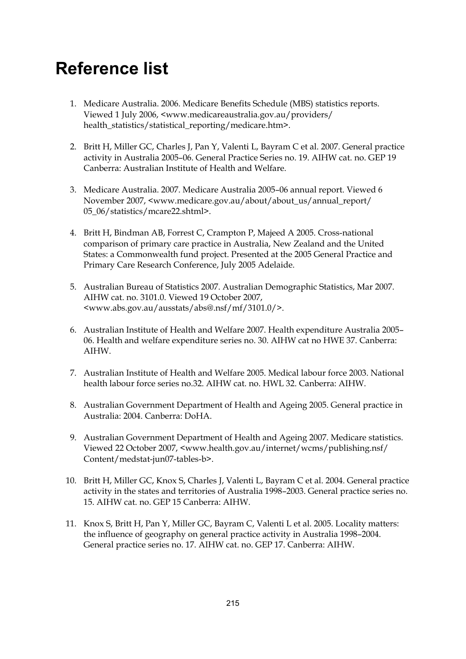## **Reference list**

- 1. Medicare Australia. 2006. Medicare Benefits Schedule (MBS) statistics reports. Viewed 1 July 2006, <www.medicareaustralia.gov.au/providers/ health\_statistics/statistical\_reporting/medicare.htm>.
- 2. Britt H, Miller GC, Charles J, Pan Y, Valenti L, Bayram C et al. 2007. General practice activity in Australia 2005–06. General Practice Series no. 19. AIHW cat. no. GEP 19 Canberra: Australian Institute of Health and Welfare.
- 3. Medicare Australia. 2007. Medicare Australia 2005–06 annual report. Viewed 6 November 2007, <www.medicare.gov.au/about/about\_us/annual\_report/ 05\_06/statistics/mcare22.shtml>.
- 4. Britt H, Bindman AB, Forrest C, Crampton P, Majeed A 2005. Cross-national comparison of primary care practice in Australia, New Zealand and the United States: a Commonwealth fund project. Presented at the 2005 General Practice and Primary Care Research Conference, July 2005 Adelaide.
- 5. Australian Bureau of Statistics 2007. Australian Demographic Statistics, Mar 2007. AIHW cat. no. 3101.0. Viewed 19 October 2007, <www.abs.gov.au/ausstats/abs@.nsf/mf/3101.0/>.
- 6. Australian Institute of Health and Welfare 2007. Health expenditure Australia 2005– 06. Health and welfare expenditure series no. 30. AIHW cat no HWE 37. Canberra: AIHW.
- 7. Australian Institute of Health and Welfare 2005. Medical labour force 2003. National health labour force series no.32. AIHW cat. no. HWL 32. Canberra: AIHW.
- 8. Australian Government Department of Health and Ageing 2005. General practice in Australia: 2004. Canberra: DoHA.
- 9. Australian Government Department of Health and Ageing 2007. Medicare statistics. Viewed 22 October 2007, <www.health.gov.au/internet/wcms/publishing.nsf/ Content/medstat-jun07-tables-b>.
- 10. Britt H, Miller GC, Knox S, Charles J, Valenti L, Bayram C et al. 2004. General practice activity in the states and territories of Australia 1998–2003. General practice series no. 15. AIHW cat. no. GEP 15 Canberra: AIHW.
- 11. Knox S, Britt H, Pan Y, Miller GC, Bayram C, Valenti L et al. 2005. Locality matters: the influence of geography on general practice activity in Australia 1998–2004. General practice series no. 17. AIHW cat. no. GEP 17. Canberra: AIHW.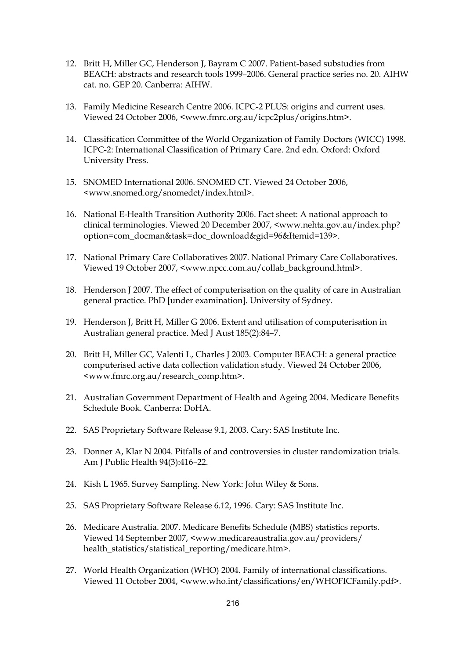- 12. Britt H, Miller GC, Henderson J, Bayram C 2007. Patient-based substudies from BEACH: abstracts and research tools 1999–2006. General practice series no. 20. AIHW cat. no. GEP 20. Canberra: AIHW.
- 13. Family Medicine Research Centre 2006. ICPC-2 PLUS: origins and current uses. Viewed 24 October 2006, <www.fmrc.org.au/icpc2plus/origins.htm>.
- 14. Classification Committee of the World Organization of Family Doctors (WICC) 1998. ICPC-2: International Classification of Primary Care. 2nd edn. Oxford: Oxford University Press.
- 15. SNOMED International 2006. SNOMED CT. Viewed 24 October 2006, <www.snomed.org/snomedct/index.html>.
- 16. National E-Health Transition Authority 2006. Fact sheet: A national approach to clinical terminologies. Viewed 20 December 2007, <www.nehta.gov.au/index.php? option=com\_docman&task=doc\_download&gid=96&Itemid=139>.
- 17. National Primary Care Collaboratives 2007. National Primary Care Collaboratives. Viewed 19 October 2007, <www.npcc.com.au/collab\_background.html>.
- 18. Henderson J 2007. The effect of computerisation on the quality of care in Australian general practice. PhD [under examination]. University of Sydney.
- 19. Henderson J, Britt H, Miller G 2006. Extent and utilisation of computerisation in Australian general practice. Med J Aust 185(2):84–7.
- 20. Britt H, Miller GC, Valenti L, Charles J 2003. Computer BEACH: a general practice computerised active data collection validation study. Viewed 24 October 2006, <www.fmrc.org.au/research\_comp.htm>.
- 21. Australian Government Department of Health and Ageing 2004. Medicare Benefits Schedule Book. Canberra: DoHA.
- 22. SAS Proprietary Software Release 9.1, 2003. Cary: SAS Institute Inc.
- 23. Donner A, Klar N 2004. Pitfalls of and controversies in cluster randomization trials. Am J Public Health 94(3):416–22.
- 24. Kish L 1965. Survey Sampling. New York: John Wiley & Sons.
- 25. SAS Proprietary Software Release 6.12, 1996. Cary: SAS Institute Inc.
- 26. Medicare Australia. 2007. Medicare Benefits Schedule (MBS) statistics reports. Viewed 14 September 2007, <www.medicareaustralia.gov.au/providers/ health\_statistics/statistical\_reporting/medicare.htm>.
- 27. World Health Organization (WHO) 2004. Family of international classifications. Viewed 11 October 2004, <www.who.int/classifications/en/WHOFICFamily.pdf>.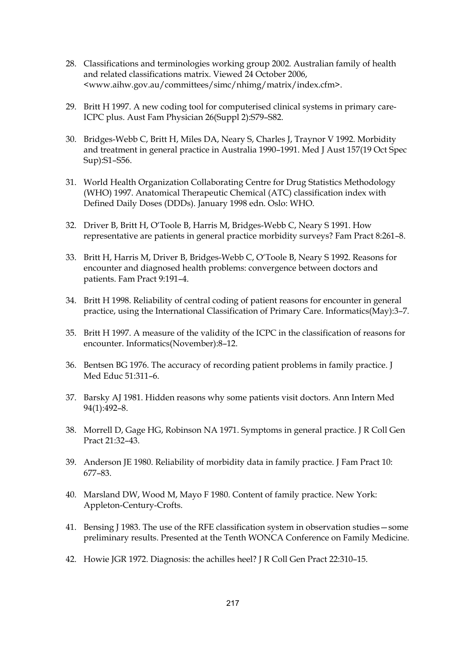- 28. Classifications and terminologies working group 2002. Australian family of health and related classifications matrix. Viewed 24 October 2006, <www.aihw.gov.au/committees/simc/nhimg/matrix/index.cfm>.
- 29. Britt H 1997. A new coding tool for computerised clinical systems in primary care-ICPC plus. Aust Fam Physician 26(Suppl 2):S79–S82.
- 30. Bridges-Webb C, Britt H, Miles DA, Neary S, Charles J, Traynor V 1992. Morbidity and treatment in general practice in Australia 1990–1991. Med J Aust 157(19 Oct Spec Sup):S1–S56.
- 31. World Health Organization Collaborating Centre for Drug Statistics Methodology (WHO) 1997. Anatomical Therapeutic Chemical (ATC) classification index with Defined Daily Doses (DDDs). January 1998 edn. Oslo: WHO.
- 32. Driver B, Britt H, O'Toole B, Harris M, Bridges-Webb C, Neary S 1991. How representative are patients in general practice morbidity surveys? Fam Pract 8:261–8.
- 33. Britt H, Harris M, Driver B, Bridges-Webb C, O'Toole B, Neary S 1992. Reasons for encounter and diagnosed health problems: convergence between doctors and patients. Fam Pract 9:191–4.
- 34. Britt H 1998. Reliability of central coding of patient reasons for encounter in general practice, using the International Classification of Primary Care. Informatics(May):3–7.
- 35. Britt H 1997. A measure of the validity of the ICPC in the classification of reasons for encounter. Informatics(November):8–12.
- 36. Bentsen BG 1976. The accuracy of recording patient problems in family practice. J Med Educ 51:311–6.
- 37. Barsky AJ 1981. Hidden reasons why some patients visit doctors. Ann Intern Med 94(1):492–8.
- 38. Morrell D, Gage HG, Robinson NA 1971. Symptoms in general practice. J R Coll Gen Pract 21:32–43.
- 39. Anderson JE 1980. Reliability of morbidity data in family practice. J Fam Pract 10: 677–83.
- 40. Marsland DW, Wood M, Mayo F 1980. Content of family practice. New York: Appleton-Century-Crofts.
- 41. Bensing J 1983. The use of the RFE classification system in observation studies—some preliminary results. Presented at the Tenth WONCA Conference on Family Medicine.
- 42. Howie JGR 1972. Diagnosis: the achilles heel? J R Coll Gen Pract 22:310–15.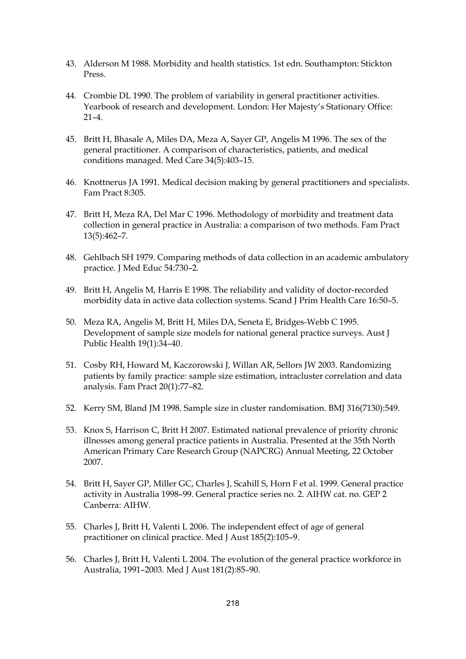- 43. Alderson M 1988. Morbidity and health statistics. 1st edn. Southampton: Stickton Press.
- 44. Crombie DL 1990. The problem of variability in general practitioner activities. Yearbook of research and development. London: Her Majesty's Stationary Office:  $21 - 4$
- 45. Britt H, Bhasale A, Miles DA, Meza A, Sayer GP, Angelis M 1996. The sex of the general practitioner. A comparison of characteristics, patients, and medical conditions managed. Med Care 34(5):403–15.
- 46. Knottnerus JA 1991. Medical decision making by general practitioners and specialists. Fam Pract 8:305.
- 47. Britt H, Meza RA, Del Mar C 1996. Methodology of morbidity and treatment data collection in general practice in Australia: a comparison of two methods. Fam Pract 13(5):462–7.
- 48. Gehlbach SH 1979. Comparing methods of data collection in an academic ambulatory practice. J Med Educ 54:730–2.
- 49. Britt H, Angelis M, Harris E 1998. The reliability and validity of doctor-recorded morbidity data in active data collection systems. Scand J Prim Health Care 16:50–5.
- 50. Meza RA, Angelis M, Britt H, Miles DA, Seneta E, Bridges-Webb C 1995. Development of sample size models for national general practice surveys. Aust J Public Health 19(1):34–40.
- 51. Cosby RH, Howard M, Kaczorowski J, Willan AR, Sellors JW 2003. Randomizing patients by family practice: sample size estimation, intracluster correlation and data analysis. Fam Pract 20(1):77–82.
- 52. Kerry SM, Bland JM 1998. Sample size in cluster randomisation. BMJ 316(7130):549.
- 53. Knox S, Harrison C, Britt H 2007. Estimated national prevalence of priority chronic illnesses among general practice patients in Australia. Presented at the 35th North American Primary Care Research Group (NAPCRG) Annual Meeting, 22 October 2007.
- 54. Britt H, Sayer GP, Miller GC, Charles J, Scahill S, Horn F et al. 1999. General practice activity in Australia 1998–99. General practice series no. 2. AIHW cat. no. GEP 2 Canberra: AIHW.
- 55. Charles J, Britt H, Valenti L 2006. The independent effect of age of general practitioner on clinical practice. Med J Aust 185(2):105–9.
- 56. Charles J, Britt H, Valenti L 2004. The evolution of the general practice workforce in Australia, 1991–2003. Med J Aust 181(2):85–90.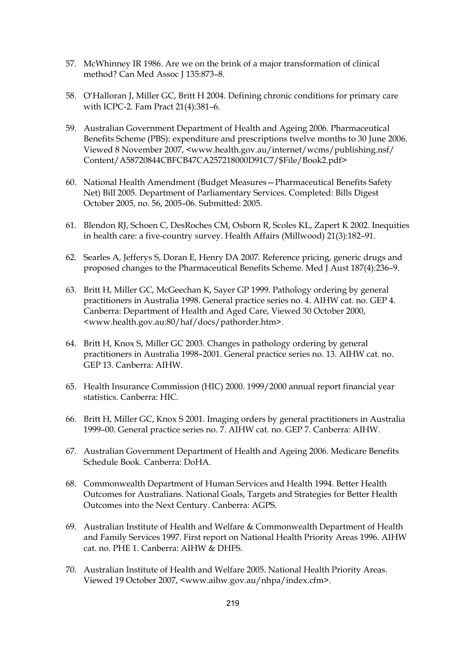- 57. McWhinney IR 1986. Are we on the brink of a major transformation of clinical method? Can Med Assoc J 135:873-8.
- 58. O'Halloran J, Miller GC, Britt H 2004. Defining chronic conditions for primary care with ICPC-2. Fam Pract 21(4):381–6.
- 59. Australian Government Department of Health and Ageing 2006. Pharmaceutical Benefits Scheme (PBS): expenditure and prescriptions twelve months to 30 June 2006. Viewed 8 November 2007, <www.health.gov.au/internet/wcms/publishing.nsf/ Content/A58720844CBFCB47CA257218000D91C7/\$File/Book2.pdf>
- 60. National Health Amendment (Budget Measures—Pharmaceutical Benefits Safety Net) Bill 2005. Department of Parliamentary Services. Completed: Bills Digest October 2005, no. 56, 2005–06. Submitted: 2005.
- 61. Blendon RJ, Schoen C, DesRoches CM, Osborn R, Scoles KL, Zapert K 2002. Inequities in health care: a five-country survey. Health Affairs (Millwood) 21(3):182–91.
- 62. Searles A, Jefferys S, Doran E, Henry DA 2007. Reference pricing, generic drugs and proposed changes to the Pharmaceutical Benefits Scheme. Med J Aust 187(4):236–9.
- 63. Britt H, Miller GC, McGeechan K, Sayer GP 1999. Pathology ordering by general practitioners in Australia 1998. General practice series no. 4. AIHW cat. no. GEP 4. Canberra: Department of Health and Aged Care, Viewed 30 October 2000, <www.health.gov.au:80/haf/docs/pathorder.htm>.
- 64. Britt H, Knox S, Miller GC 2003. Changes in pathology ordering by general practitioners in Australia 1998–2001. General practice series no. 13. AIHW cat. no. GEP 13. Canberra: AIHW.
- 65. Health Insurance Commission (HIC) 2000. 1999/2000 annual report financial year statistics. Canberra: HIC.
- 66. Britt H, Miller GC, Knox S 2001. Imaging orders by general practitioners in Australia 1999–00. General practice series no. 7. AIHW cat. no. GEP 7. Canberra: AIHW.
- 67. Australian Government Department of Health and Ageing 2006. Medicare Benefits Schedule Book. Canberra: DoHA.
- 68. Commonwealth Department of Human Services and Health 1994. Better Health Outcomes for Australians. National Goals, Targets and Strategies for Better Health Outcomes into the Next Century. Canberra: AGPS.
- 69. Australian Institute of Health and Welfare & Commonwealth Department of Health and Family Services 1997. First report on National Health Priority Areas 1996. AIHW cat. no. PHE 1. Canberra: AIHW & DHFS.
- 70. Australian Institute of Health and Welfare 2005. National Health Priority Areas. Viewed 19 October 2007, <www.aihw.gov.au/nhpa/index.cfm>.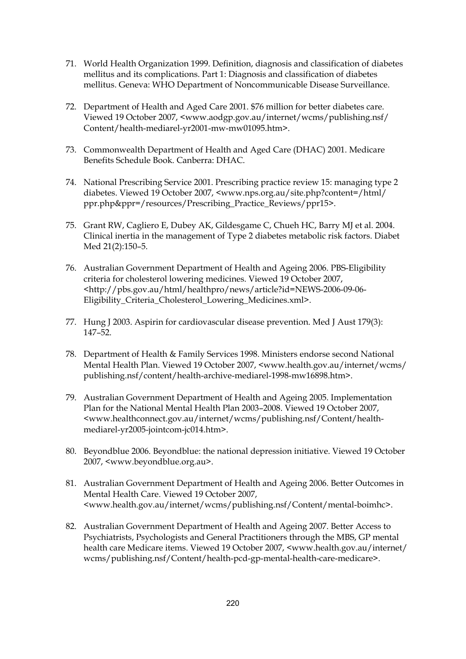- 71. World Health Organization 1999. Definition, diagnosis and classification of diabetes mellitus and its complications. Part 1: Diagnosis and classification of diabetes mellitus. Geneva: WHO Department of Noncommunicable Disease Surveillance.
- 72. Department of Health and Aged Care 2001. \$76 million for better diabetes care. Viewed 19 October 2007, <www.aodgp.gov.au/internet/wcms/publishing.nsf/ Content/health-mediarel-yr2001-mw-mw01095.htm>.
- 73. Commonwealth Department of Health and Aged Care (DHAC) 2001. Medicare Benefits Schedule Book. Canberra: DHAC.
- 74. National Prescribing Service 2001. Prescribing practice review 15: managing type 2 diabetes. Viewed 19 October 2007, <www.nps.org.au/site.php?content=/html/ ppr.php&ppr=/resources/Prescribing\_Practice\_Reviews/ppr15>.
- 75. Grant RW, Cagliero E, Dubey AK, Gildesgame C, Chueh HC, Barry MJ et al. 2004. Clinical inertia in the management of Type 2 diabetes metabolic risk factors. Diabet Med 21(2):150–5.
- 76. Australian Government Department of Health and Ageing 2006. PBS-Eligibility criteria for cholesterol lowering medicines. Viewed 19 October 2007, <http://pbs.gov.au/html/healthpro/news/article?id=NEWS-2006-09-06- Eligibility\_Criteria\_Cholesterol\_Lowering\_Medicines.xml>.
- 77. Hung J 2003. Aspirin for cardiovascular disease prevention. Med J Aust 179(3): 147–52.
- 78. Department of Health & Family Services 1998. Ministers endorse second National Mental Health Plan. Viewed 19 October 2007, <www.health.gov.au/internet/wcms/ publishing.nsf/content/health-archive-mediarel-1998-mw16898.htm>.
- 79. Australian Government Department of Health and Ageing 2005. Implementation Plan for the National Mental Health Plan 2003–2008. Viewed 19 October 2007, <www.healthconnect.gov.au/internet/wcms/publishing.nsf/Content/healthmediarel-yr2005-jointcom-jc014.htm>.
- 80. Beyondblue 2006. Beyondblue: the national depression initiative. Viewed 19 October 2007, <www.beyondblue.org.au>.
- 81. Australian Government Department of Health and Ageing 2006. Better Outcomes in Mental Health Care. Viewed 19 October 2007, <www.health.gov.au/internet/wcms/publishing.nsf/Content/mental-boimhc>.
- 82. Australian Government Department of Health and Ageing 2007. Better Access to Psychiatrists, Psychologists and General Practitioners through the MBS, GP mental health care Medicare items. Viewed 19 October 2007, <www.health.gov.au/internet/ wcms/publishing.nsf/Content/health-pcd-gp-mental-health-care-medicare>.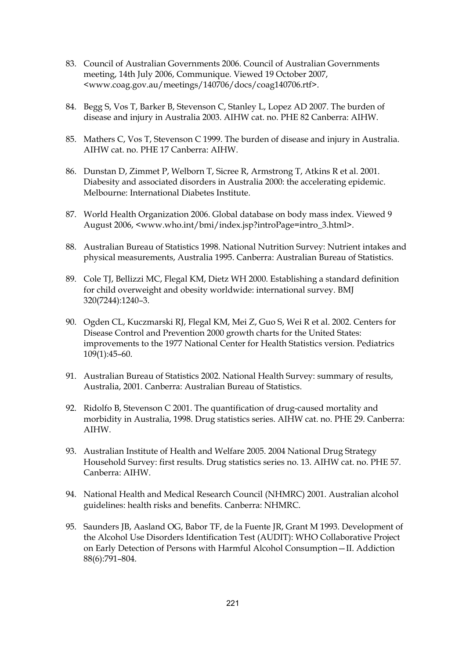- 83. Council of Australian Governments 2006. Council of Australian Governments meeting, 14th July 2006, Communique. Viewed 19 October 2007, <www.coag.gov.au/meetings/140706/docs/coag140706.rtf>.
- 84. Begg S, Vos T, Barker B, Stevenson C, Stanley L, Lopez AD 2007. The burden of disease and injury in Australia 2003. AIHW cat. no. PHE 82 Canberra: AIHW.
- 85. Mathers C, Vos T, Stevenson C 1999. The burden of disease and injury in Australia. AIHW cat. no. PHE 17 Canberra: AIHW.
- 86. Dunstan D, Zimmet P, Welborn T, Sicree R, Armstrong T, Atkins R et al. 2001. Diabesity and associated disorders in Australia 2000: the accelerating epidemic. Melbourne: International Diabetes Institute.
- 87. World Health Organization 2006. Global database on body mass index. Viewed 9 August 2006, <www.who.int/bmi/index.jsp?introPage=intro\_3.html>.
- 88. Australian Bureau of Statistics 1998. National Nutrition Survey: Nutrient intakes and physical measurements, Australia 1995. Canberra: Australian Bureau of Statistics.
- 89. Cole TJ, Bellizzi MC, Flegal KM, Dietz WH 2000. Establishing a standard definition for child overweight and obesity worldwide: international survey. BMJ 320(7244):1240–3.
- 90. Ogden CL, Kuczmarski RJ, Flegal KM, Mei Z, Guo S, Wei R et al. 2002. Centers for Disease Control and Prevention 2000 growth charts for the United States: improvements to the 1977 National Center for Health Statistics version. Pediatrics 109(1):45–60.
- 91. Australian Bureau of Statistics 2002. National Health Survey: summary of results, Australia, 2001. Canberra: Australian Bureau of Statistics.
- 92. Ridolfo B, Stevenson C 2001. The quantification of drug-caused mortality and morbidity in Australia, 1998. Drug statistics series. AIHW cat. no. PHE 29. Canberra: AIHW.
- 93. Australian Institute of Health and Welfare 2005. 2004 National Drug Strategy Household Survey: first results. Drug statistics series no. 13. AIHW cat. no. PHE 57. Canberra: AIHW.
- 94. National Health and Medical Research Council (NHMRC) 2001. Australian alcohol guidelines: health risks and benefits. Canberra: NHMRC.
- 95. Saunders JB, Aasland OG, Babor TF, de la Fuente JR, Grant M 1993. Development of the Alcohol Use Disorders Identification Test (AUDIT): WHO Collaborative Project on Early Detection of Persons with Harmful Alcohol Consumption—II. Addiction 88(6):791–804.